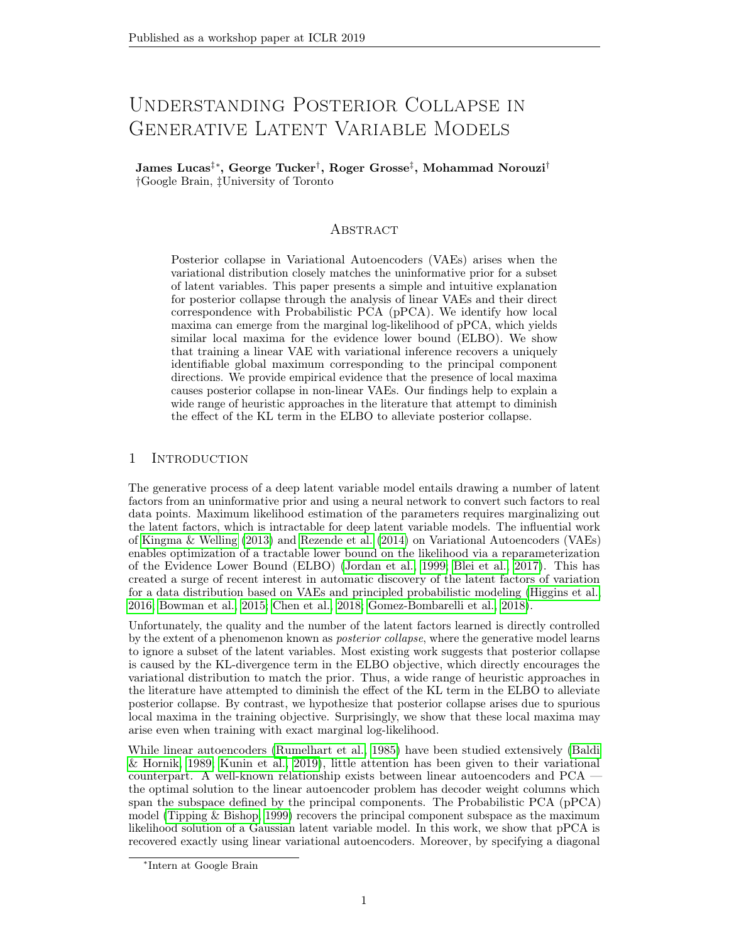# Understanding Posterior Collapse in GENERATIVE LATENT VARIABLE MODELS

James Lucas‡∗, George Tucker† , Roger Grosse‡ , Mohammad Norouzi† †Google Brain, ‡University of Toronto

## **ABSTRACT**

Posterior collapse in Variational Autoencoders (VAEs) arises when the variational distribution closely matches the uninformative prior for a subset of latent variables. This paper presents a simple and intuitive explanation for posterior collapse through the analysis of linear VAEs and their direct correspondence with Probabilistic PCA (pPCA). We identify how local maxima can emerge from the marginal log-likelihood of pPCA, which yields similar local maxima for the evidence lower bound (ELBO). We show that training a linear VAE with variational inference recovers a uniquely identifiable global maximum corresponding to the principal component directions. We provide empirical evidence that the presence of local maxima causes posterior collapse in non-linear VAEs. Our findings help to explain a wide range of heuristic approaches in the literature that attempt to diminish the effect of the KL term in the ELBO to alleviate posterior collapse.

# 1 Introduction

The generative process of a deep latent variable model entails drawing a number of latent factors from an uninformative prior and using a neural network to convert such factors to real data points. Maximum likelihood estimation of the parameters requires marginalizing out the latent factors, which is intractable for deep latent variable models. The influential work of Kingma & Welling (2013) and Rezende et al. (2014) on Variational Autoencoders (VAEs) enables optimization of a tractable lower bound on the likelihood via a reparameterization of the Evidence Lower Bound (ELBO) (Jordan et al., 1999; Blei et al., 2017). This has created a surge of recent interest in automatic discovery of the latent factors of variation for a data distribution based on VAEs and principled probabilistic modeling (Higgins et al., 2016; Bowman et al., 2015; Chen et al., 2018; Gomez-Bombarelli et al., 2018).

Unfortunately, the quality and the number of the latent factors learned is directly controlled by the extent of a phenomenon known as posterior collapse, where the generative model learns to ignore a subset of the latent variables. Most existing work suggests that posterior collapse is caused by the KL-divergence term in the ELBO objective, which directly encourages the variational distribution to match the prior. Thus, a wide range of heuristic approaches in the literature have attempted to diminish the effect of the KL term in the ELBO to alleviate posterior collapse. By contrast, we hypothesize that posterior collapse arises due to spurious local maxima in the training objective. Surprisingly, we show that these local maxima may arise even when training with exact marginal log-likelihood.

While linear autoencoders (Rumelhart et al., 1985) have been studied extensively (Baldi & Hornik, 1989; Kunin et al., 2019), little attention has been given to their variational counterpart. A well-known relationship exists between linear autoencoders and PCA the optimal solution to the linear autoencoder problem has decoder weight columns which span the subspace defined by the principal components. The Probabilistic PCA (pPCA) model (Tipping & Bishop, 1999) recovers the principal component subspace as the maximum likelihood solution of a Gaussian latent variable model. In this work, we show that pPCA is recovered exactly using linear variational autoencoders. Moreover, by specifying a diagonal

<sup>∗</sup> Intern at Google Brain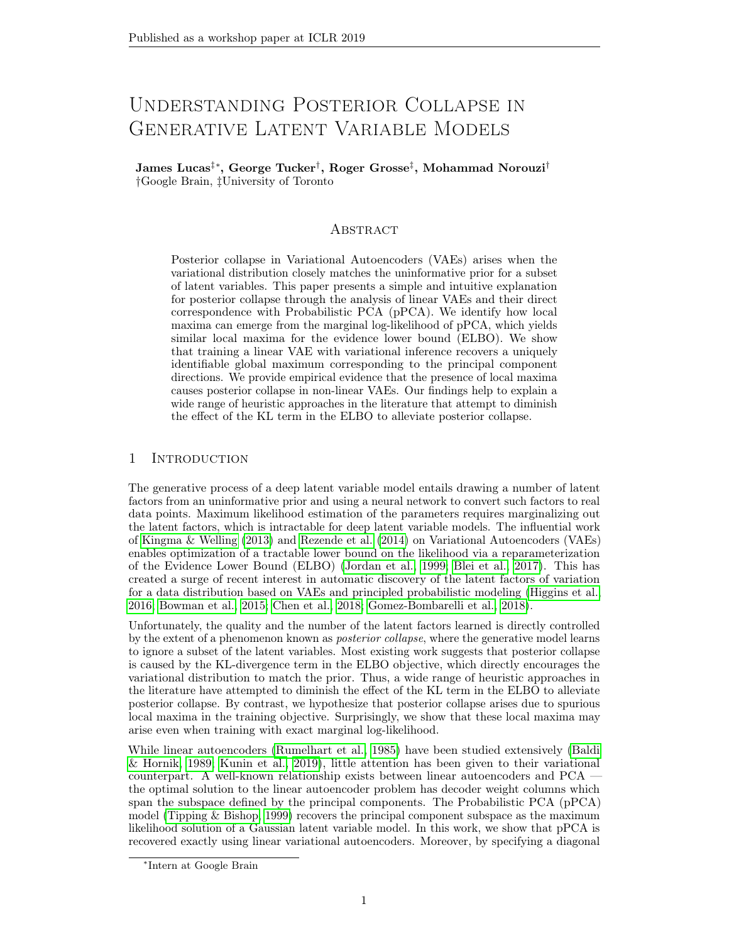covariance structure on the variational distribution we recover an identifiable model which at the global maximum has the principal components as the columns of the decoder.

The study of linear VAEs gives us new insights into the cause of posterior collapse. Following the analysis of Tipping & Bishop (1999), we characterize the stationary points of pPCA and show that the variance of the observation model directly impacts the stability of local stationary points – if the variance is too large then the pPCA objective has spurious local maxima, which correspond to a collapsed posterior. Our contributions include:

- We prove that linear VAEs can recover the true posterior of pPCA and using ELBO to train linear VAEs does not add any additional spurious local maxima. Further, we prove that at its global optimum, the linear VAE recovers the principal components.
- We shows that posterior collapse may occur in optimization of marginal log-likelihood, without powerful decoders. Our experiments verify the analysis of the linear setting and show that these insights extend even to high-capacity, deep, non-linear VAEs.
- By learning the observation noise carefully, we are able to reduce posterior collapse. We present evidence that the success of existing approaches in alleviating posterior collapse depends on their ability to reduce the stability of spurious local maxima.

#### 2 Preliminaries

**Probabilistic PCA.** We define the probabilitic PCA (pPCA) model as follows. Suppose latent variables  $z \in \mathbb{R}^k$  generate data  $x \in \mathbb{R}^n$ . A standard Gaussian prior is used for z and a linear generative model with a spherical Gaussian observation model for x:

$$
p(\mathbf{z}) = \mathcal{N}(\mathbf{0}, \mathbf{1})
$$
  
\n
$$
p(\mathbf{x} \mid \mathbf{z}) = \mathcal{N}(\mathbf{W}\mathbf{z} + \mathbf{z}^2 \mathbf{I})
$$
\n(1)

The pPCA model is a special case of factor analysis (Bartholomew, 1987), which replaces the spherical covariance  $\frac{2}{1}$  with a full covariance matrix. As pPCA is fully Gaussian, both the marginal distribution for **x** and the posterior  $p(z|x)$  are Gaussian and, unlike factor analysis, the maximum likelihood estimates of **W** and  $\frac{2}{3}$  are tractable (Tipping & Bishop, 1999).

Variational Autoencoders. Recently, amortized variational inference has gained popularity as a means to learn complicated latent variable models. In these models, the marginal log-likelihood, log  $p(x)$ , is intractable but a variational distribution,  $q(z|x)$ , is used to approximate the posterior,  $p(\mathbf{z}|\mathbf{x})$ , allowing tractable approximate inference. To do so we typically make use of the Evidence Lower Bound (ELBO):

$$
\log p(\mathbf{x}) = E_{q(\mathbf{z}|\mathbf{x})}[\log p(\mathbf{x}|\mathbf{z}) - \log q(\mathbf{z}|\mathbf{x})] + D_{KL}(q(\mathbf{z}|\mathbf{x})||p(\mathbf{z}|\mathbf{x})) \tag{2}
$$

$$
\geq E_{q(\mathbf{z}|\mathbf{x})}[\log p(\mathbf{x}; \mathbf{z}) - \log q(\mathbf{z} | \mathbf{x})]
$$
\n(3)

$$
= E_{q(\mathbf{z}|\mathbf{x})}[\log p(\mathbf{x} \mid \mathbf{z})] - D_{KL}(q(\mathbf{z} \mid \mathbf{x})||p(\mathbf{z})) \qquad (:= ELBO) \tag{4}
$$

The ELBO consists of two terms, the KL divergence between the variational distribution,  $q(z|x)$ , and prior,  $p(z)$ , and the expected conditional log-likelihood. The KL divergence forces the variational distribution towards the prior and so has reasonably been the focus of many attempts to alleviate posterior collapse. We hypothesize that in fact the marginal log-likelihood itself often encourages posterior collapse.

In Variational Autoencoders (VAEs), two neural networks are used to parameterize  $q(z|x)$ and  $p(\mathbf{x}|\mathbf{z})$ , where and denote two sets of neural network weights. The encoder maps an input x to the parameters of the variational distribution, and then the decoder maps a sample from the variational distribution back to the inputs.

Posterior collapse. The most consistent issue with VAE optimization is posterior collapse, in which the variational distribution collapses towards the prior:  $\exists i \, s.t. \, \forall \mathbf{x} \, q \, (z_i | \mathbf{x}) \approx p(z_i)$ . This reduces the capacity of the generative model, making it impossible for the decoder network to make use of the information content of all of the latent dimensions. While posterior collapse is typically described using the variational distribution as above, one can also define it in terms of the true posterior  $p(z|\mathbf{x})$  as:  $\exists i \sin \theta \mathbf{x}$   $p(z_i|\mathbf{x}) \approx p(z_i)$ .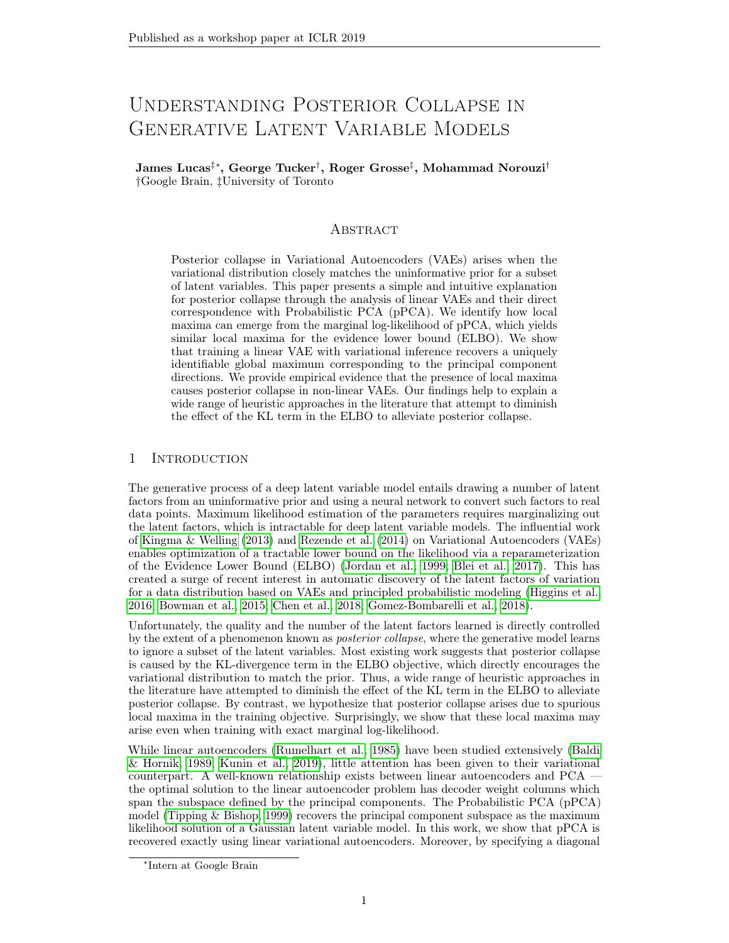# 3 Related Work

Dai et al. (2017) discuss the relationship between robust PCA methods (Candès et al., 2011) and VAEs. In particular, they show that at stationary points the VAE objective locally aligns with pPCA under certain assumptions. We study the pPCA objective explicitly and show a direct correspondence with linear VAEs. Dai et al. (2017) show that the covariance structure of the variational distribution may help smooth out the loss landscape. This is an interesting result whose interactions with ours is an exciting direction for future research.

He et al. (2019) motivate posterior collapse through an investigation of the learning dynamics of deep VAEs. They suggest that posterior collapse is caused by the inference network lagging behind the true posterior during the early stages of training. A related line of research studies issues arising from approximate inference causing mismatch between the variational distribution and true posterior (Cremer et al., 2018; Kim et al., 2018; Hjelm et al., 2016). By contrast, we show that local maxima may exist even when the variational distribution matches the true posterior exactly.

Alemi et al. (2017) use an information theoretic framework to study the representational properties of VAEs. They show that with in nite model capacity there are solutions with equal ELBO and marginal log-likelihood which span a range of representations, including posterior collapse. We nd that even with weak (linear) decoders, posterior collapse may occur. Moreover, we show that in the linear case this posterior collapse is due entirely to the marginal log-likelihood.

The most common approach for dealing with posterior collapse is to anneal a weight on the KL term during training from 0 to 1 (Bowman et al., 2015; Sønderby et al., 2016; Maaløe et al., 2019; Higgins et al., 2016; Huang et al., 2018). Unfortunately, this means that during the annealing process, one is no longer optimizing a bound on the log-likelihood. In addition, it is di cult to design these annealing schedules and we have found that once regular ELBO training resumes the posterior will typically collapse again (Section 5.2).

Kingma et al. (2016) propose a constraint on the KL term, which they called "free-bits", where the gradient of the KL term per dimension is ignored if the KL is below a given threshold. Unfortunately, this method reportedly has some negative eects on training stability (Razavi et al., 2019; Chen et al., 2016). Delta-VAEs (Razavi et al., 2019) instead choose prior and variational distributions carefully such that the variational distribution can never exactly recover the prior, allocating free-bits implicitly.

Several other papers have studied alternative formulations of the VAE objective (Rezende & Viola, 2018; Dai & Wipf, 2019; Alemi et al., 2017). Dai & Wipf (2019) analyze the VAE objective with the goal of improving image delity under Gaussian observation models. Through this lens they discuss the importance of the observation noise.

Rolinek et al. (2018) point out that due to the diagonal covariance used in the variational distribution of VAEs they are encouraged to pursue orthogonal representations. They use linearizations of deep networks to prove their results under a modication of the objective function by explicitly ignoring latent dimensions with posterior collapse. Our formulation is distinct in focusing on linear VAEs without modifying the objective function and proving an exact correspondence between the global solution of linear VAEs and principal components.

Kunin et al. (2019) studies the optimization challenges in the linear autoencoder setting. They expose an equivalence between pPCA and Bayesian autoencoders and point out that when  $2$  is too large information about the latent code is lost. A similar phenomenon is discussed in the supervised learning setting by Chechik et al. (2005). Kunin et al. (2019) also show that suitable regularization allows the linear autoencoder to exactly recover the principal components. We show that the same can be achieved using linear variational autoencoders with a diagonal covariance structure.

# 4 Analysis of linear VAE

In this section we compare and analyze the optimal solutions to both pPCA and linear variational autoencoders.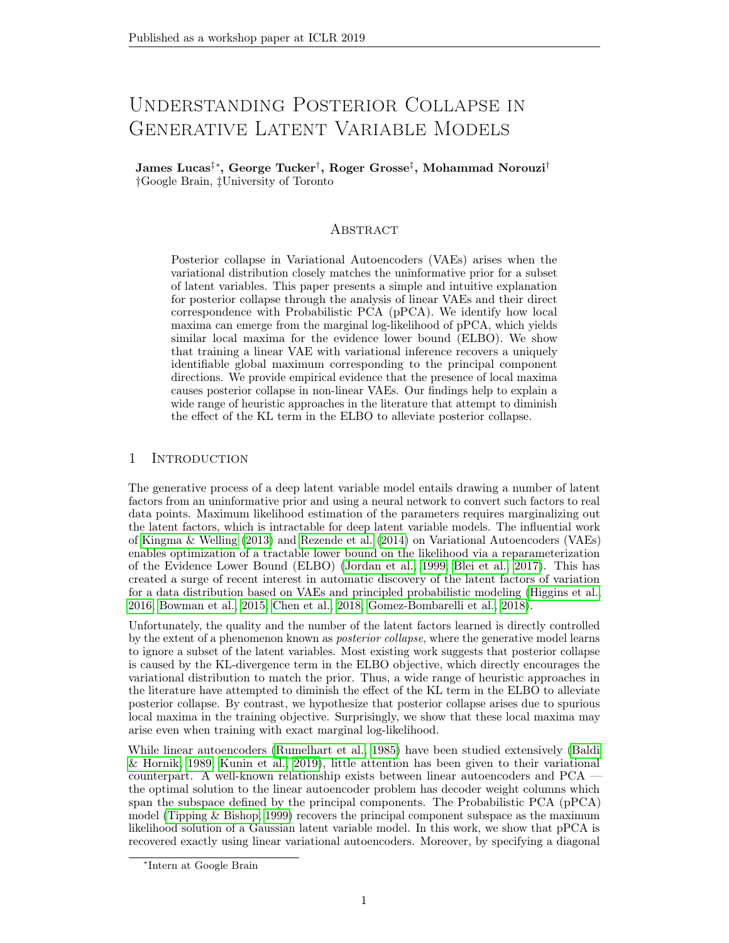a) 
$$
2 = 4
$$
 b)  $2 = 6$  c)  $2 = 8$ 

Figure 1: Stationary points of pPCA. A zero-column of W is perturbed in the directions of two orthogonal principal components ( $5$  and  $7)$  and the loss surface (marginal log-likelihood) is shown. The stability of the stationary points depends critically on  $\frac{2}{\pi}$ . Left:  $\frac{2}{\pi}$  is able to capture both principal components. Middle:  $\frac{2}{3}$  is too large to capture one of the principal components. Right:  $\frac{2}{3}$  is too large to capture either principal component.

We rst discuss the maximum likelihood estimates of pPCA and then show that a simple linear VAE is able to recover the global optimum. Moreover, the same linear VAE recovers identi ability of the principle components (unlike pPCA which only spans the PCA subspace). Finally, we analyze the loss landscape of the linear VAE showing that ELBO does not introduce any additional spurious maxima.

#### 4.1 Probabilistic PCA Revisited

The pPCA model (Eq. (1)) is a fully Gaussian linear model and thus we can compute both the marginal distribution for x and the posterior  $p(z | x)$  in closed form:

$$
p(x) = N( ;WWT + 2I); \t(5)
$$

$$
p(z|x) = N(M^{-1}W^{T}(x)); \t{}^{2}M^{-1}); \t\t(6)
$$

where M = W<sup>T</sup>W + <sup>2</sup>I. This model is particularly interesting to analyze in the setting of variational inference as the ELBO can also be computed in closed form (see Appendix C).

Stationary points of pPCA We now characterize the stationary points of pPCA, largely repeating the thorough analysis of Tipping & Bishop (1999) (see Appendix A of their paper).

The maximum likelihood estimate of is the mean of the data. We can compute  $W_{MLE}$ and  $M/E$  as follows:

$$
^{2}_{MLE} = \frac{1}{n+k} \sum_{j=k+1}^{N} j;
$$
 (7)

$$
W_{MLE} = U_k (k \frac{2}{MLE}I)^{1=2}R
$$
 (8)

Here  $U_k$  corresponds to the rst k principal components of the data with the corresponding eigenvalues  $_1$ ; ::; k stored in the k k diagonal matrix  $_k$ . The matrix R is an arbitrary rotation matrix which accounts for weak identi ability in the model. We can interpret 2<br>MLE as the average variance lost in the projection. The MLE solution is the global optima.

Stability of W<sub>MLE</sub> One surprising observation is that <sup>2</sup> directly controls the stability of the stationary points of the marginal log-likelihood (see Appendix A). In Figure 1, we illustrate one such stationary point of pPCA under di erent values of  $2$ . We computed this stationary point by taking W to have three principal components columns and zeros elsewhere. Each plot shows the same stationary point perturbed by two orthogonal eigenvectors corresponding to other principal components. The stability of the stationary points depends on the size of

2 as  $2$  increases the stationary point tends towards a stable local maxima. While this example is much simpler than a non-linear VAE, we nd in practice that the same principle applies. Moreover, we observed that the non-linear dynamics make it dicult to learn a smaller value of  $2$  automatically (Figure 6).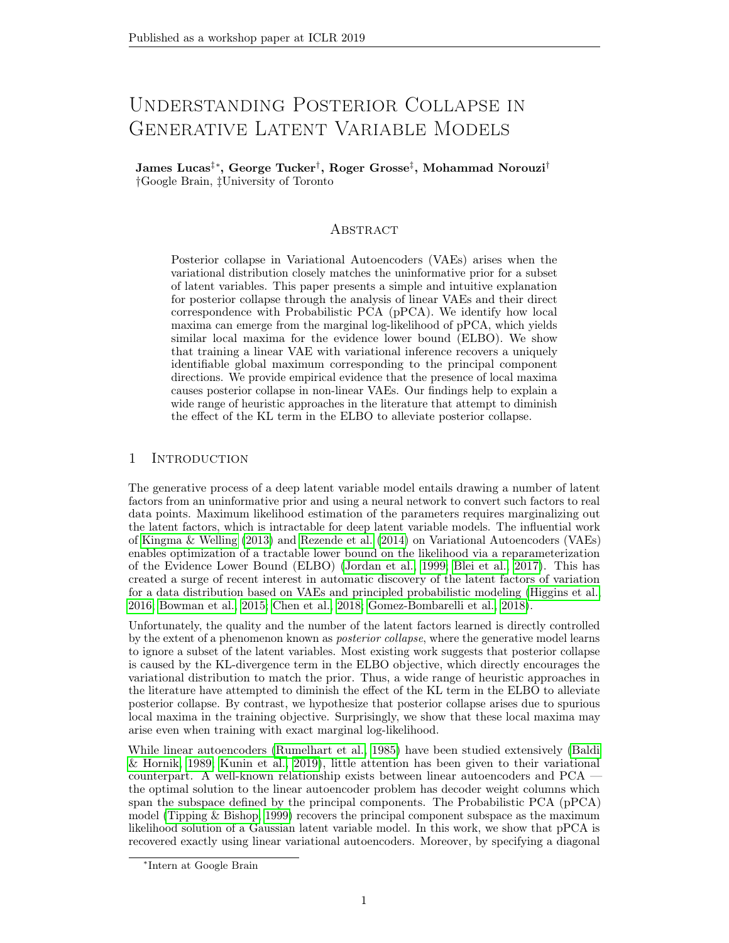## 4.2 Linear VAEs recover pPCA

We now show that linear VAEs are able to recover the globally optimal solution to Probabilistic PCA. We will consider the following VAE model,

$$
p(x | z) = N(Wz + ;21);
$$
  
q(z | x) = N(V(x); D); (9)

where D is a diagonal covariance matrix which is used globally for all data points. While this is a signicant restriction compared to typical VAE architectures, which dene an amortized variance for each input point, this is sucient to recover the global optimum of the probabilistic model.

Lemma 1. The global maximum of the ELBO objective  $(Eq(4))$  for the linear VAE (Eq. (9)) is identical to the global maximum for the marginal log-likelihood of pPCA (Eq.(5)).

Proof. The global optimum of pPCA is obtained at the maximum likelihood estimate of W and  $\,$   $^2$ , which are speci ed only up to an orthogonal transformation of the columns of W, i.e., any rotation R in Eq. (8) results in a matrix  $W_{MLE}$  that given  $\frac{2}{MLE}$  attains maximum marginal likelihood. The linear VAE model de ned in Eq. (9) is able to recover the global optimum of pPCA only when R = I. When R = I, we have  $M = W_{MLE}^T W_{MLE} + 2I = 1$ , thus setting V = M <sup>1</sup>W<sub>MLE</sub> and D =  $_{MLE}^{2}$  M <sup>1</sup> =  $_{MLE}^{2}$   $_{k}^{1}$  (which is diagonal) recovers the true posterior at the global optimum. In this case, the ELBO equals the marginal log-likelihood and is maximized when the decoder has weight  $W = W_{MLE}$ . Since, ELBO lower bounds log-likelihood, then the global maximum of ELBO for the linear VAE is the same as the global maximum of marginal likelihood for pPCA. П

Full details are given in Appendix C. In fact, the diagonal covariance of the variational distribution allows us to identify the principal components at the global optimum.

Corollary 1. The global optimum to the VAE solution has the scaled principal components as the columns of the decoder network.

Proof. Follows directly from the proof of Lemma 1 and Equation 8.

$$
\Box
$$

Finally, we can recover full identi ability by requiring  $D = I$ . We discuss this in Appendix B.

We have shown that at its global optimum the linear VAE is able to recover the pPCA solution and additionally enforces orthogonality of the decoder weight columns. However, the VAE is trained with the ELBO rather than the marginal log-likelihood. The majority of existing work suggests that the KL term in the ELBO objective is responsible for posterior collapse and so we should ask whether this term introduces additional spurious local maxima. Surprisingly, for the linear VAE model the ELBO objective does notintroduce any additional spurious local maxima. We provide a sketch of the proof here with full details in Appendix C. Theorem 1. The ELBO objective does not introduce any additional local maxima to the pPCA model.

Proof. (Sketch) If the decoder network has orthogonal columns then the variational distribution can capture the true posterior and thus the variational objective exactly recovers the marginal log-likelihood at stationary points. If the decoder network does not have orthogonal columns then the variational distribution is no longer tight. However, the ELBO can always be increased by rotating the columns of the decoder towards orthogonality. This is because the variational distribution ts the true posterior more closely while the marginal log-likelihood is invariant to rotations of the weight columns. Thus, any additional stationary points in the ELBO objective must necessarily be saddle points.  $\Box$ 

The theoretical results presented in this section provide new intuition for posterior collapse in general VAEs. Our results suggest that the ELBO objective, in particular the KL between the variational distribution and the prior, is not entirely responsible for posterior collapse even exact marginal log-likelihood may suer. The evidence for this is two-fold. We have shown that marginal log-likelihood may have spurious local maxima but also that in the linear case the ELBO objective does not add any additional spurious local maxima. Rephrased, in the linear setting the problem lies entirely with the probabilistic model.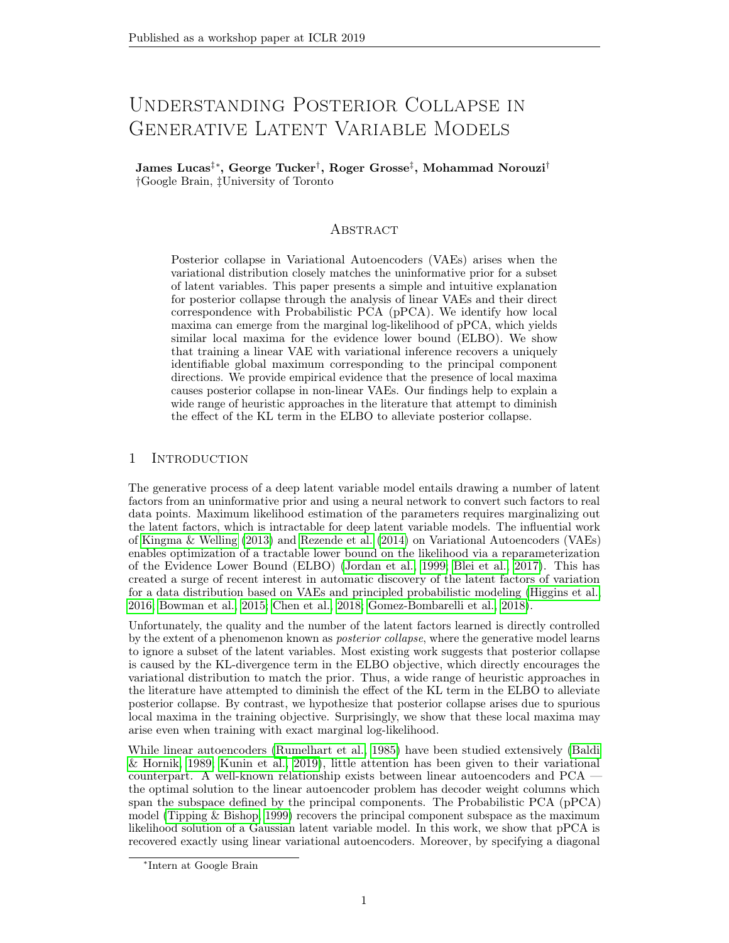Figure 2: The marginal log-likelihood and optimal ELBO of MNIST pPCA solutions over increasing hidden dimension. Green represents the MLE solution (global maximum), the red dashed line is the optimal ELBO solution which matches the global optimum. The blue line shows the marginal log-likelihood of the solutions using the full decoder weights when  $\mathrm{^{2}}$  is xed to its MLE solution for 50 hidden dimensions.

# 5 Experiments

In this section we present empirical evidence found from studying two distinct claims. First, we veried our theoretical analysis of the linear VAE model. Second, we explored to what extent these insights apply to deep non-linear VAEs.

## 5.1 Linear VAEs

In Figure 2 we display the likelihood values for various optimal solutions to the pPCA model trained on the MNIST dataset. We plot the maximum log-likelihood and numerically verify that the optimal ELBO solution is able to exactly match this (Lemma 1). We also evaluated the model with all principal components used but with a xed value of  $2^2$  corresponding to the MLE solution for 50 hidden dimensions. This is equivalent to  $2\text{ }$   $\text{ }$   $\text{ }$   $\text{ }$   $\text{ }$   $\text{ }$   $\text{ }$   $\text{ }$   $\text{ }$   $\text{ }$   $\text{ }$   $\text{ }$   $\text{ }$   $\text{ }$   $\text{ }$   $\text{ }$   $\text{ }$   $\text{ }$   $\text{ }$   $\text{ }$   $\text{ }$   $\text{ }$ log-likelihood is optimal at  $2 = 50$  as expected, but interestingly the likelihood decreases for 300 hidden dimensions including the additional principal components has made the solution worse under marginal log-likelihood.

#### 5.2 Investigating posterior collapse in deep non-linear VAEs

We explored how well the analysis of the linear VAEs extends to deep non-linear models. To do so, we trained VAEs with Gaussian observation models on the MNIST dataset. This is a fairly uncommon choice of model for this dataset, which is nearly binary, but it provides a good setting for us to investigate our theoretical ndings.

Training with  $xed$ <sup>2</sup> We rst trained VAEs with 200 latent dimensions and  $xed$ values of  $2$  for the observation model. Given our previous analysis, this is awed but unfortunately is representative of a wide range of open source implementations we surveyed. Moreover, this setting allows us to better understand how KL-annealing (Bowman et al., 2015; Sønderby et al., 2016) impacts posterior collapse.

Figure 3 shows the ELBO during training of an MNIST VAE with 2 hidden layers in both the encoder and decoder, and a stochastic layer with 200 hidden units. Figure 4 shows the cumulative distribution of the per-dimension KL divergence between the variational distribution and the prior at the end of training. We observe that using a smaller value of

<sup>2</sup> prevents the posterior from collapsing and allows the model to achieve a substantially higher ELBO. It is possible that the dierence in ELBO is due entirely to the change of scale introduced by  $2$  and not because of di erences in the learned representations. To test this hypothesis we took each of the trained models and optimized for  $2$  while keeping all other parameters xed (Table 1). As expected, the ELBO increased but the relative ordering remained the same with a signi cant gap still present.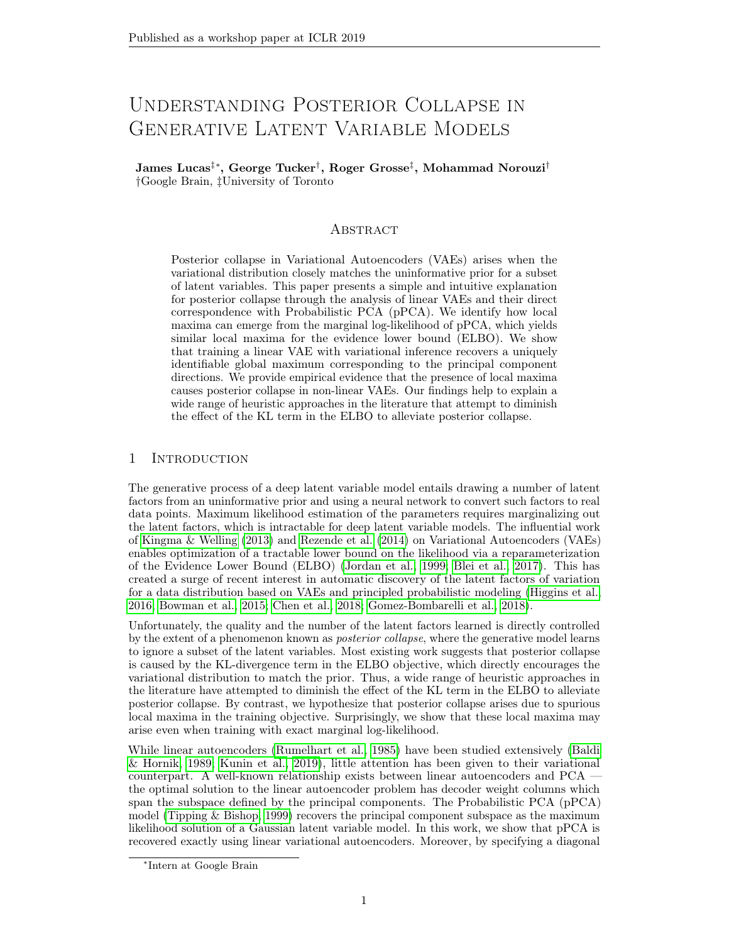Figure 3: ELBO during training of MNIST VAEs with Gaussian observation model. A better ELBO is achieved with a smaller choice of  $2$ .

Figure 4: The proportion of inactive units in trained MNIST VAEs which, on average, are less than the speci ed threshold.

| Model       | FI BO  | $-$ -tuned ELBO |
|-------------|--------|-----------------|
| $= 0.1$     | 130.3  | 1302.9          |
| $2 = 0:05$  | 378.7  | 1376.0          |
| $2 = 0:01$  | 893.6  | 1435.1          |
| $2 = 0:001$ | 1379.0 | 1485.9          |

Table 1: Evaluation of trained MNIST VAEs. The nal model is evaluated on the training set. We also tuned  $2$  to the trained model and reevaluated to con rm that the di erence in loss is due to di erences in latent representations.

Figure 5: Proportion of inactive units thresholded by KL divergence when using 0-1 KLannealing. The solid line represents the nal model while the dashed line is the model after only 80 epochs of training.

The role of KL-annealing An alternative approach to tuning  $2$  is to scale the KL term directly by a coe cient, carriet containty of this provides a loose lowerbound on the ELBO but for appropriate choices of and learning rate, this scheme can be made equivalent to tuning  $2.$  In this section we explore this technique. We found that KL-annealing may provide temporary relief from posterior collapse but that if  $\lambda^2$  is not appropriately tuned then ultimately ELBO training will recover the default solution. In Figure 5 we show the proportion of units collapsed by threshold for several xed choices of  $\frac{3}{2}$  when is annealed from 0 to 1 over the rst 100 epochs. The solid lines correspond to the nal model while the dashed line corresponds to the model at 80 epochs of training. Early on, KL-annealing is able to reduce posterior collapse but ultimately we recover the ELBO solution from Figure 4.

After nding that KL-annealing alone was insucient to prevent posterior collapse we explored KL annealing while learning  $2$ . Based on our analysis in the linear case we expect that this should work well: while is small the model should be able to learn to reduce  $\frac{2}{1}$ . To test this, we trained the same VAE as above on MNIST data but this time we

allowed  $2$  to be learned. The results are presented in Figure 6. We trained rst using the standard ELBO objective and then again using KL-annealing. The ELBO objective learns to reduce  $2$  but ultimately learns a solution with a large degree of posterior collapse. Using KL-annealing, the VAE is able to learn a much smaller  $\frac{2}{3}$  value and ultimately reduces posterior collapse. Interestingly, despite signicantly diering representations, these two models have approximately the same nal training ELBO. This is consistent with the analysis of Alemi et al. (2017), who showed that there can exist solutions equal under ELBO with di ering posterior distributions.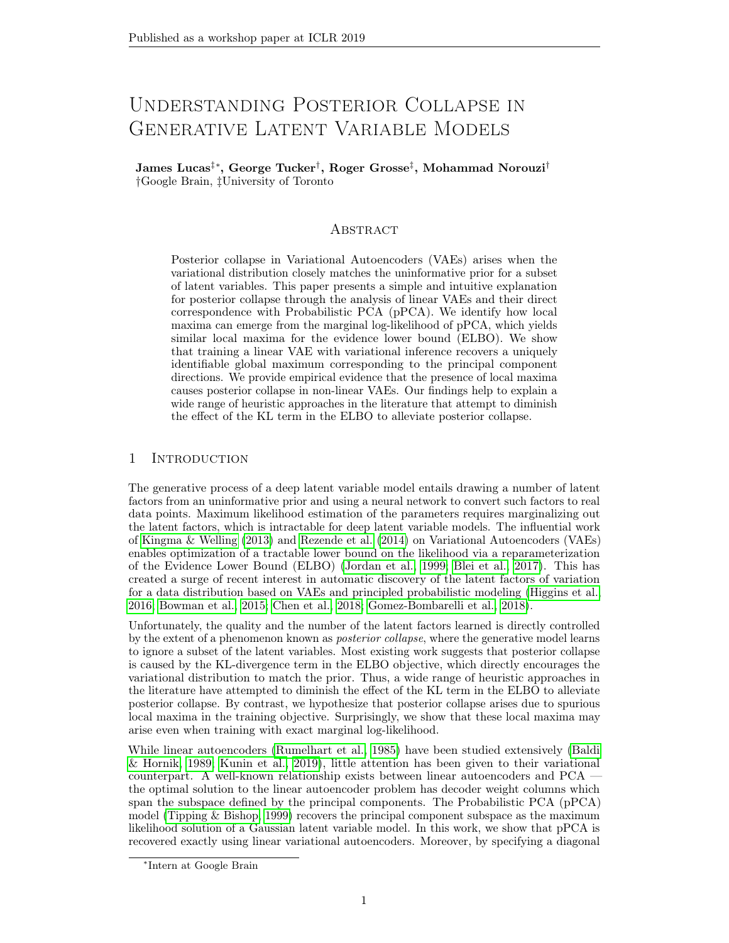Figure 6: Comparing learned solutions using KL-Annealing versus standard ELBO training when <sup>2</sup> is learned.

Figure 7: ELBO during training of convolutional CelebA VAEs while learning .

#### 5.2.1 Other datasets

We trained deep convolutional VAEs with 500 hidden dimensions on images from the CelebA dataset (resized to 64x64). In Figure 7 we show the training ELBO for the standard ELBO objective and training with KL-annealing. In each case,  $2$  is learned online. As in Figure 6, KL-Annealing enabled the VAE to learn a smaller value of  $2$  which corresponded to a better nal ELBO value and reduced posterior collapse (Figure 8).

# 6 Discussion

By analyzing the correspondence between linear VAEs and pPCA we have made signi cant progress towards understanding the causes of posterior collapse. We have shown that for simple linear VAEs posterior collapse is caused by spurious local maxima in the marginal log-likelihood and we demonstrated empirically that the same local maxima seem to play a role when optimizing deep non-linear VAEs. In future work, we hope to extend this analysis to other observation models and provide theoretical support for the non-linear case.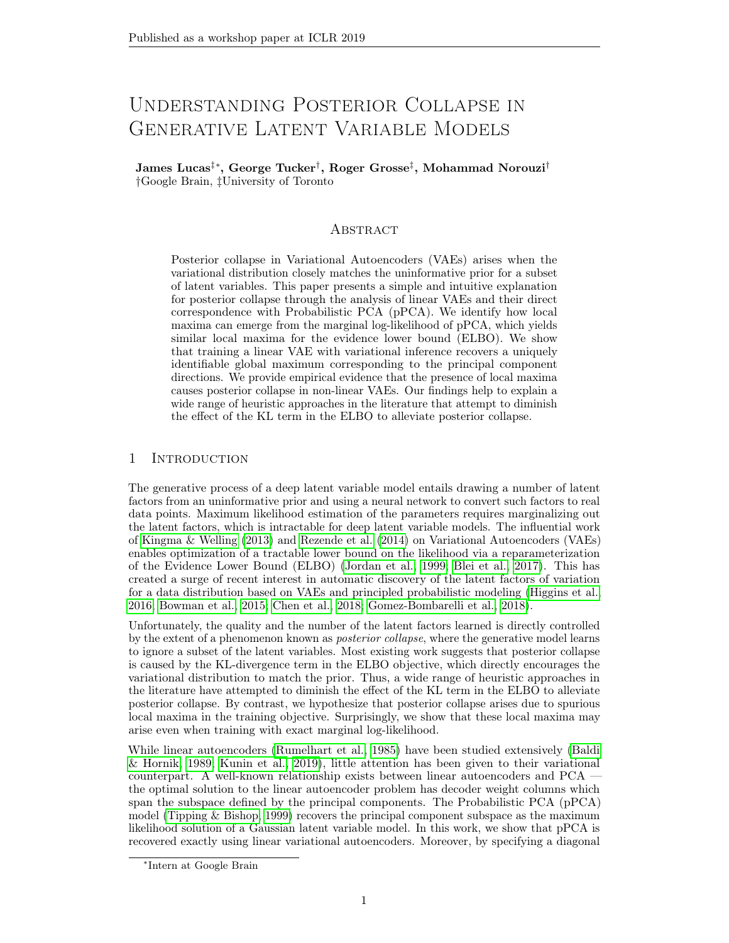# References

- Alexander A Alemi, Ben Poole, Ian Fischer, Joshua V Dillon, Rif A Saurous, and Kevin Murphy. Fixing a broken ELBO. arXiv preprint arXiv:1711.00464, 2017.
- J Atchison and Sheng M Shen. Logistic-normal distributions: Some properties and uses. Biometrika, 67(2):261272, 1980.
- Pierre Baldi and Kurt Hornik. Neural networks and principal component analysis: Learning from examples without local minima. Neural networks, 2(1):5358, 1989.
- David J Bartholomew. Latent variable models and factors analysis Oxford University Press, Inc., 1987.
- David M Blei, Alp Kucukelbir, and Jon D McAulie. Variational inference: A review for statisticians. Journal of the American Statistical Association, 2017.
- Samuel R Bowman, Luke Vilnis, Oriol Vinyals, Andrew M Dai, Rafal Jozefowicz, and Samy Bengio. Generating sentences from a continuous spacerXiv preprint arXiv:1511.06349, 2015.
- Emmanuel J Candès, Xiaodong Li, Yi Ma, and John Wright. Robust principal component analysis? Journal of the ACM (JACM) , 58(3):11, 2011.
- Gal Chechik, Amir Globerson, Naftali Tishby, and Yair Weiss. Information bottleneck for gaussian variables.Journal of machine learning research, 6(Jan):165188, 2005.
- Ricky T. Q. Chen, Xuechen Li, Roger Grosse, and David Duvenaud. Isolating sources of disentanglement in variational autoencoders.Advances in Neural Information Processing Systems 2018.
- Xi Chen, Diederik P Kingma, Tim Salimans, Yan Duan, Prafulla Dhariwal, John Schulman, Ilya Sutskever, and Pieter Abbeel. Variational lossy autoencoder.arXiv preprint arXiv:1611.02731, 2016.
- Chris Cremer, Xuechen Li, and David Duvenaud. Inference suboptimality in variational autoencoders.arXiv preprint arXiv:1801.03558, 2018.
- Bin Dai and David Wipf. Diagnosing and enhancing VAE models. In International Conference on Learning Representations 2019. URL https://openreview.net/forum?id= B1e0X3C9tQ.
- Bin Dai, Yu Wang, John Aston, Gang Hua, and David Wipf. Hidden talents of the variational autoencoder. arXiv preprint arXiv:1706.05148, 2017.
- Rafael Gomez-Bombarelli, Jennifer N. Wei, David Duvenaud, Jose Miguel Hernandez-Lobato, Benjamin Sanchez-Lengeling, Dennis Sheberla, Jorge Aguilera-Iparraguirre, Timothy D. Hirzel, Ryan P. Adams, and Alan Aspuru-Guzik. Automatic chemical design using a data-driven continuous representation of molecules.American Chemical Society Central Science<sub>2018</sub>.
- Junxian He, Daniel Spokoyny, Graham Neubig, and Taylor Berg-Kirkpatrick. Lagging inference networks and posterior collapse in variational autoencoders. International Conference on Learning Representations 2019. URL https://openreview.net/forum? id=rylDfnCqF7 .
- Irina Higgins, Loic Matthey, Arka Pal, Christopher Burgess, Xavier Glorot, Matthew Botvinick, Shakir Mohamed, and Alexander Lerchner. beta-VAE: Learning basic visual concepts with a constrained variational framework. InInternational Conference on Learning Representations, 2016.
- Devon Hjelm, Ruslan R Salakhutdinov, Kyunghyun Cho, Nebojsa Jojic, Vince Calhoun, and Junyoung Chung. Iterative renement of the approximate posterior for directed belief networks. In Advances in Neural Information Processing Systemspp. 4691 4699, 2016.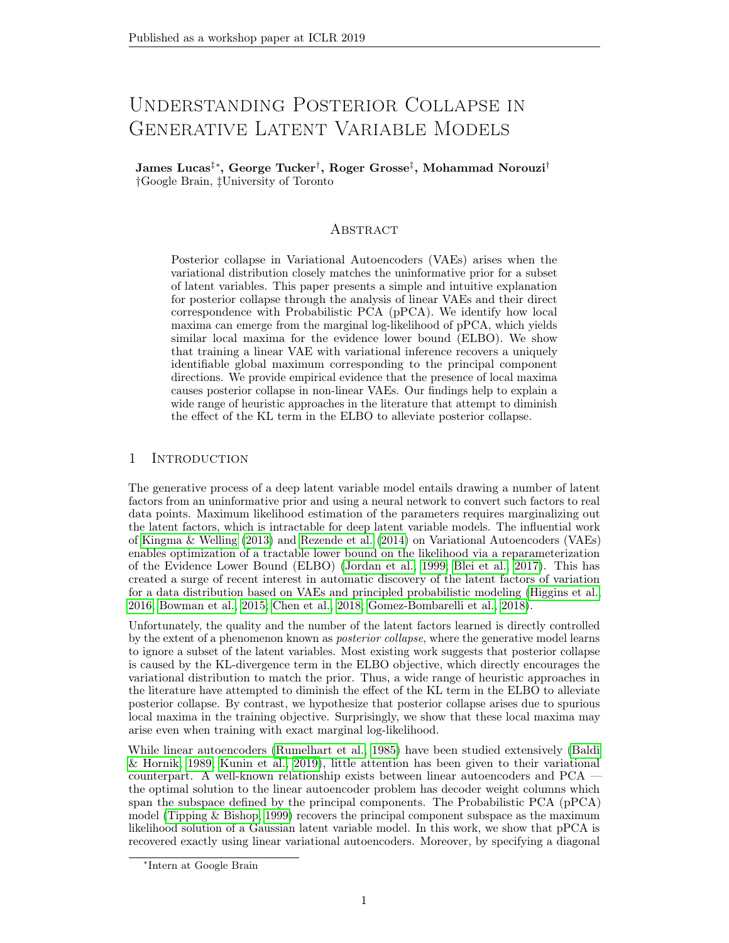- Chin-Wei Huang, Shawn Tan, Alexandre Lacoste, and Aaron C Courville. Improving explorability in variational inference with annealed variational objectives. In Advances in Neural Information Processing Systems pp. 9724 9734, 2018.
- Michael I Jordan, Zoubin Ghahramani, Tommi S Jaakkola, and Lawrence K Saul. An introduction to variational methods for graphical models. Machine learning, 1999.
- Yoon Kim, Sam Wiseman, Andrew C Miller, David Sontag, and Alexander M Rush. Semiamortized variational autoencoders. arXiv preprint arXiv:1802.02550, 2018.
- Diederik P Kingma and Jimmy Ba. Adam: A method for stochastic optimization. arXiv preprint arXiv:1412.6980, 2014.
- Diederik P Kingma and Max Welling. Auto-encoding variational bayes. arXiv preprint arXiv:1312.6114, 2013.
- Durk P Kingma, Tim Salimans, Rafal Jozefowicz, Xi Chen, Ilya Sutskever, and Max Welling. Improved variational inference with inverse autoregressive ow. InAdvances in neural information processing systems pp. 4743 4751, 2016.
- Daniel Kunin, Jonathan M Bloom, Aleksandrina Goeva, and Cotton Seed. Loss landscapes of regularized linear autoencoders.arXiv preprint arXiv:1901.08168, 2019.
- Lars Maaløe, Marco Fraccaro, Valentin Liévin, and Ole Winther. BIVA: A very deep hierarchy of latent variables for generative modeling.arXiv preprint arXiv:1902.02102, 2019.
- Kaare Brandt Petersen et al. The matrix cookbook.
- Ali Razavi, Aaron van den Oord, Ben Poole, and Oriol Vinyals. Preventing posterior collapse with delta-VAEs. In International Conference on Learning Representations 2019. URL https://openreview.net/forum?id=BJe0Gn0cY7 .
- Danilo Jimenez Rezende and Fabio Viola. Taming vaesarXiv preprint arXiv:1810.00597, 2018.
- Danilo Jimenez Rezende, Shakir Mohamed, and Daan Wierstra. Stochastic backpropagation and approximate inference in deep generative modelsarXiv preprint arXiv:1401.4082, 2014.
- Michal Rolinek, Dominik Zietlow, and Georg Martius. Variational autoencoders pursue PCA directions (by accident). arXiv preprint arXiv:1812.06775, 2018.
- David E Rumelhart, Georey E Hinton, and Ronald J Williams. Learning internal representations by error propagation. Technical report, California Univ San Diego La Jolla Inst for Cognitive Science, 1985.
- Casper Kaae Sønderby, Tapani Raiko, Lars Maaløe, Søren Kaae Sønderby, and Ole Winther. Ladder variational autoencoders. In Advances in neural information processing systems pp. 37383746, 2016.
- Michael E Tipping and Christopher M Bishop. Probabilistic principal component analysis. Journal of the Royal Statistical Society: Series B (Statistical Methodology) 61(3):611 622, 1999.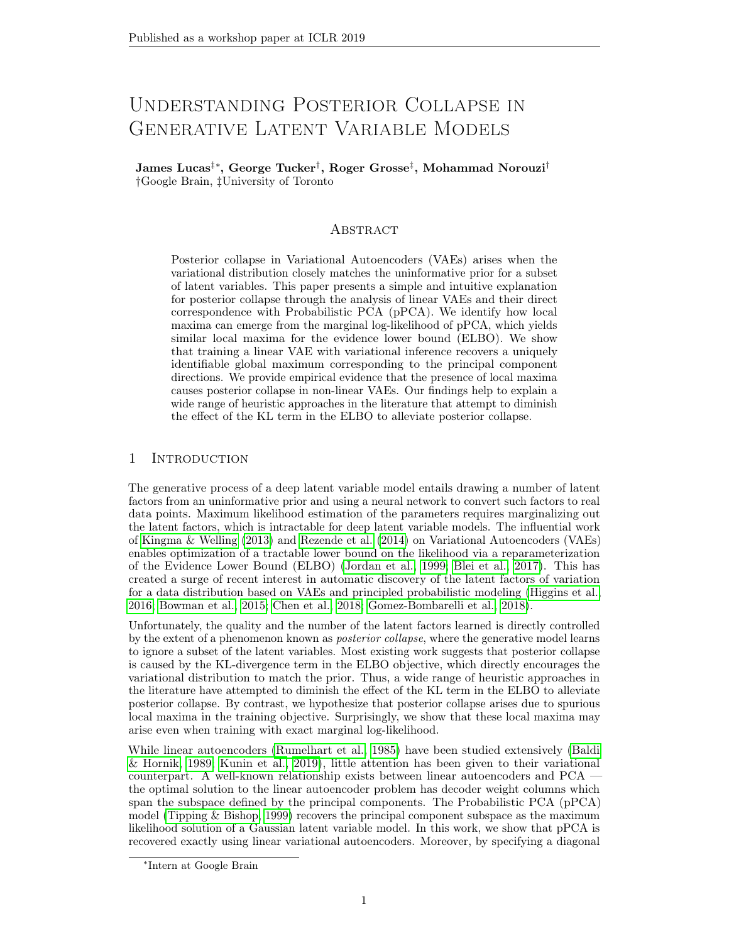# A Stationary points of pPCA

Here we briey summarize the analysis of (Tipping & Bishop, 1999) with some simple additional observations. We recommend that interested readers study Appendix A of Tipping & Bishop (1999) for the full details. We begin by formulating the conditions for P stationary points of  $\mathbf{x}_i$  logp( $\mathbf{x}_i$ ):

$$
SC^{-1}W = W \tag{10}
$$

Where S denotes the sample covariance matrix (assuming we set =  $_{MLE}$ , which we do throughout), and  $C = WW^T + 21$  (note that the dimensionality is di erent to M). There are three possible solutions to this equation, (1) $W = 0$ , (2)  $C = S$ , or (3) the more general solutions. (1) and (2) are not particularly interesting to us, so we focus herein on (3).

We can write W = ULV  $<sup>T</sup>$  using its singular value decomposition. Substituting back into</sup> the stationary points equation, we recover the following:

SUL = U(
$$
^2
$$
I + L<sup>2</sup>)L (11)

Noting that L is diagonal, if the j<sup>th</sup> singular value (l<sub>j</sub>) is non-zero, this givesSu<sub>j</sub> = (  $2 + 1^2$ )u<sub>j</sub>, where  $u_j$  is the j<sup>th</sup> column of U. Thus,  $u_j$  is an eigenvector ofS with eigenvalue  $v_j = \frac{2 + 1j^2}{2}$ . For  $I_j = 0$ ,  $u_j$  is arbitrary.

Thus, all potential solutions can be written as, W =  $U_q(K_q - 2l)^{1=2}R$ , with singular values written as  $k_j = \frac{2}{3}$  or  $\frac{2}{j} + l_j^2$  and with R representing an arbitrary orthogonal matrix.

From this formulation, one can show that the global optimum is attained with  $2 = 2$ and  $U_q$  and K<sub>q</sub> chosen to match the leading singular vectors and values  $\mathfrak{B}$ .

#### A.1 Stability of stationary point solutions

Consider stationary points of the form, W = U<sub>q</sub>(K<sub>q</sub>  $^{2}$ l)<sup>1=2</sup> where U<sub>q</sub> contains arbitrary eigenvectors ofS. In the original pPCA paper they show that all solutions except the leading principal components correspond to saddle points in the optimization landscape. However, this analysis depends critically on  $<sup>2</sup>$  being set to the true maximum likelihood estimate.</sup> Here we repeat their analysis, considering other (xed) values of  $2$ .

We consider a small perturbation to a column of W, of the form  $|u_j|$ . To analyze the stability of the perturbed solution, we check the sign of the dot-product of the perturbation with the likelihood gradient at  $w_i + u_j$ . Ignoring terms in <sup>2</sup> we can write the dot-product as,

$$
N\left( \begin{array}{cc} 1 = k_i \\ 1 \end{array} \right) u_j^T C^{-1} u_j \tag{12}
$$

Now, C  $^{-1}$  is positive de nite and so the sign depends only on  $_{j}$  =k<sub>i</sub> 1. The stationary point is stable (local maxima) only if the sign is negative. If  $k_i = i$  then the maxima is stable only when  $\vert i \rangle$  in words, the top q principal components are stable. However, we must also consider the cas $x = \pm 2$ . Tipping & Bishop (1999) show that if  $\pm 2 = \pm 2$  is then this also corresponds to a saddle point as<sup>2</sup> is the average of the smallest eigenvalues meaning some perturbation will be unstable (except in a special case which is handled separately).

However, what happens if  $2$  is not set to be the maximum likelihood estimate? In this case, it is possible that there are no unstable perturbation directions (that is,  $\frac{1}{2}$  <  $\frac{2}{3}$  for too many j). In this case when  $2$  is xed, there are local optima where W has zero-columns the same solutions that we observe in non-linear VAEs corresponding to posterior collapse. Note that when  $2$  is learned in non-degenerate cases the local maxima presented above become saddle points where  $2$  is made smaller by its gradient. In practice, we nd that even when <sup>2</sup> is learned in the non-linear case local maxima exist.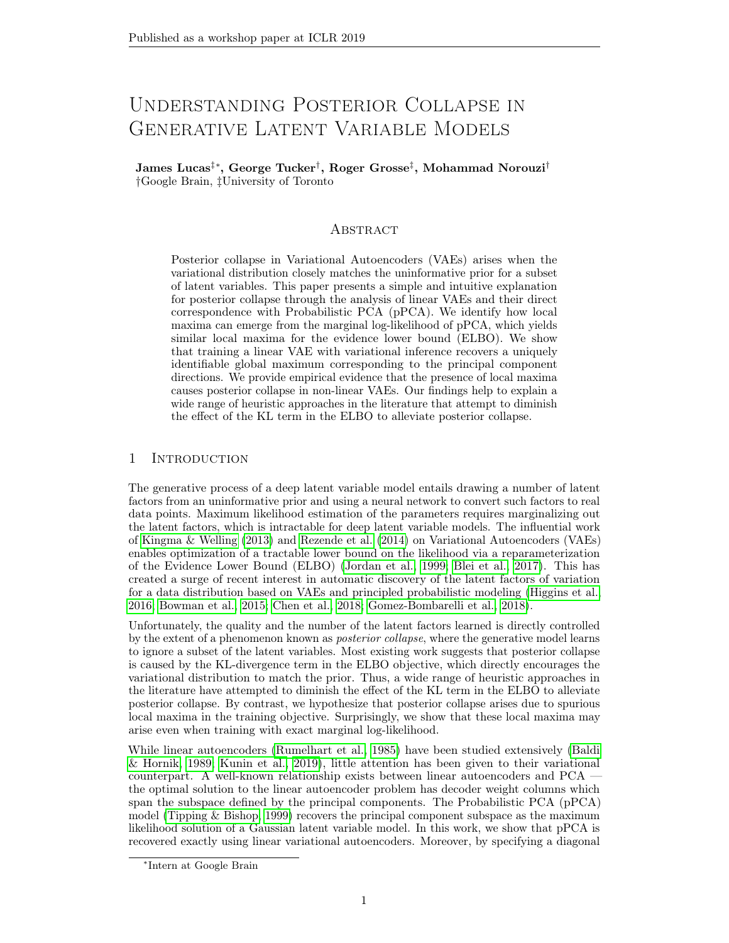# B Identifiability of the linear VAE

Linear autoencoders suer from a lack of identiability which causes the decoder columns to span the principal component subspace instead of recovering it. Here we show that linear VAEs are able to recover the principal components up to scaling.

We once again consider the linear VAE from Eq. (9):

$$
p(x | z) = N(Wz + ;2I);
$$
  
q(z j x) = N(V(x); D);

The output of the VAE,  $*$  is distributed as,

$$
xjx \, N \, (WV (x) + ; ^2WD ^1W^T):
$$

Therefore, the linear VAE is invariant to the following transformation:

$$
WA ;\nV A1V ;\nD A1DA1 ;
$$
\n(13)

where A is a diagonal matrix with non-zero entries so that D is well-de ned. We see that the direction of the columns ofW are always identiable, and thus the principal components can be exactly recovered.

Moreover, we can recover complete identi ability by xing  $D = I$ , so that there is a unique global maximum.

# C Stationary points of ELBO

Here we present details on the analysis of the stationary points of the ELBO objective. To begin, we rst derive closed form solutions to the components of the marginal log-likelihood (including the ELBO). The VAE we focus on is the one presented in Eq.(9), with a linear encoder, linear decoder, Gaussian prior, and Gaussian observation model.

Remember that one can express the marginal log-likelihood as:

logp(x) = (A ) KL (q(zjx)jjp(zjx)) (B ) KL (q(zjx)jjp(z)) + (C ) Eq(zjx ) [logp(xjz)]: (14)

Each of the terms (A-C) can be expressed in closed form for the linear VAE. Note that the KL term (A) is minimized when the variational distribution is exactly the true posterior distribution. This is possible when the columns of the decoder are orthogonal.

The term (B) can be expressed as,

KL 
$$
(q(z)x)jjp(z) = 0.5
$$
 (log det D +  $(x -)$ <sup>T</sup>V<sup>T</sup>V $(x +)$  + tr(D) q): (15)

The term (C) can be expressed as,

$$
E_{q(z|x)} [logp(x|z)] = E_{q(z|x)} \quad (Wz \quad (x \quad))^{T} (Wz \quad (x \quad)) = 2^{2} \frac{d}{2} log 2^{2} \quad (16)
$$
  
=  $E_{q(z|x)} \frac{(Wz)^{T} (Wz) + 2(x \quad)^{T} Wz \quad (x \quad)^{T} (x \quad)}{2^{2}}$   $\frac{d}{2} log 2^{2}$  : (17)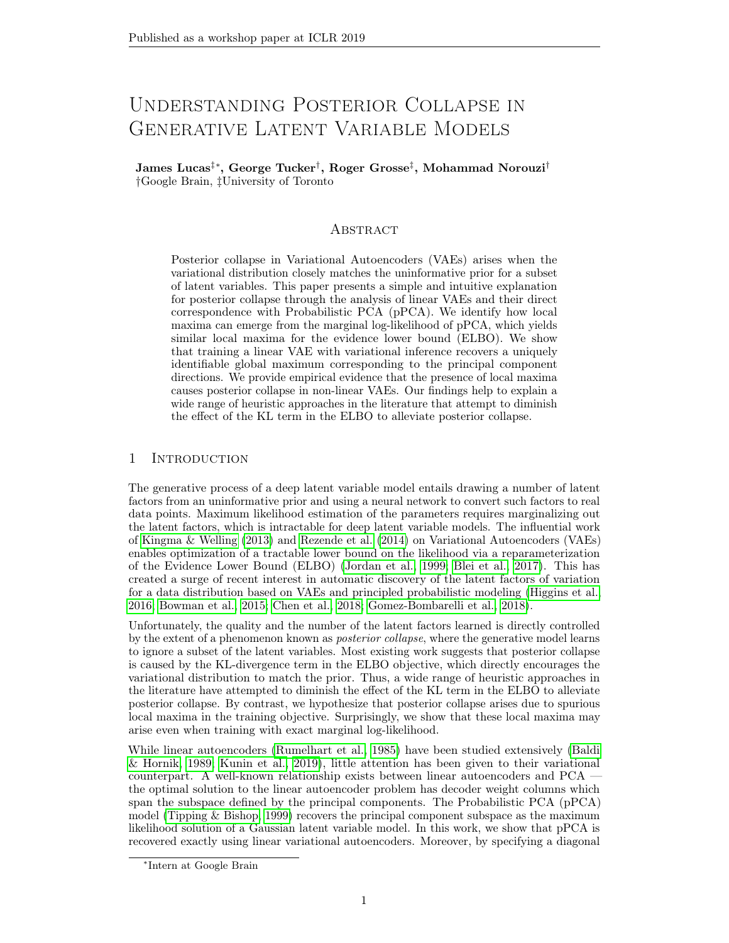Noting that  $Wz \sim \mathcal{N}$  WV(x – );WDW<sup>T</sup>, we can compute the expectation analytically and obtain,

$$
E_{q(\mathbf{z}|\mathbf{x})} [\log p(\mathbf{x}|\mathbf{z})] = \frac{1}{2^{2}} [-tr(\mathbf{WDW}^{T}) - (\mathbf{x} - )^{T} \mathbf{V}^{T} \mathbf{W}^{T} \mathbf{W} \mathbf{V} (\mathbf{x} - )
$$
(18)

+ 2(**x** - 
$$
)^T
$$
**WV**(**x** -  $) - (x - )^T(x - )] - \frac{d}{2} \log 2$  (19)

To compute the stationary points we must take derivatives with respect to  $\Box$ ;  $\mathsf{D}/\mathsf{W}/\mathsf{V}/2$ . As before, we have  $=$   $_{MLE}$  at the global maximum and for simplicity we fix here for the remainder of the analysis.

Taking the marginal likelihood over the whole dataset, at the stationary points we have,

$$
\frac{\mathscr{E}}{\mathscr{E} \mathbf{D}}(-(B) + (C)) = \frac{N}{2}(\mathbf{D}^{-1} - \mathbf{I} - \frac{1}{2}\text{diag}(\mathbf{W}^T \mathbf{W})) = 0
$$
\n(20)

$$
\frac{\mathscr{E}}{\mathscr{E}\mathsf{V}}(-(B) + (C)) = \frac{N}{2}(\mathsf{W}^T - (\mathsf{W}^T\mathsf{W} + \mathscr{E}^2\mathsf{I})\mathsf{V})\mathsf{S} = 0
$$
\n(21)

$$
\frac{\mathscr{E}}{\mathscr{E} \mathsf{W}}(-(B) + (C)) = \frac{N}{2} (\mathsf{SV}^T - \mathsf{DW} - \mathsf{WVSV}^T) = 0 \tag{22}
$$

The above are computed using standard matrix derivative identities (Petersen et al.). These equations yield the expected solution for the variational distribution directly. From Eq. (20) we compute  $D^* = \left[2(\text{diag}(W^T W) + 2I)^{-1}\right]$  and  $V^* = M^{-1} W^T$ , recovering the true posterior mean in all cases and getting the correct posterior covariance when the columns of W are orthogonal. We will now proceed with the proof of Theorem 1.

**Theorem 1.** The ELBO objective does not introduce any additional local maxima to the pPCA model.

Proof. If the columns of W are orthogonal then the marginal log-likelihood is recovered exactly at all stationary points. This is a direct consequence of the posterior mean and covariance being recovered exactly at all stationary points so that (1) is zero.

We must give separate treatment to the case where there is a stationary point without orthogonal columns of W. Suppose we have such a stationary point, using the singular value decomposition we can write  $W = ULR^T$ , where U and R are orthogonal matrices. Note that  $\log p(\mathbf{x})$  is invariant to the choice of R (Tipping & Bishop, 1999). However, the choice of **R** does have an effect on the first term (1) of Eq. (14): this term is minimized when  $R = I$ , and thus the ELBO must increase.

To formalize this argument, we compute (1) at a stationary point. From above, at every stationary point the mean of the variational distribution exactly matches the true posterior. Thus the KL simplifies to:

$$
KL(q(z|x)||p(z|x)) = \frac{1}{2} \quad tr(\frac{1}{2}MD) - q + q \log^{2} - \log(\det M \det D) \quad ; \tag{23}
$$

$$
= \frac{1}{2} \quad tr(\mathbf{M}\hat{\mathbf{M}}^{-1}) - q - \log \frac{\det \mathbf{M}}{\det \hat{\mathbf{M}}}
$$
 (24)

$$
= \frac{1}{2} \sum_{i=1}^{M} \frac{\mathbf{M}_{ii}}{\mathbf{M}_{ii}} - q - \log \det \mathbf{M} + \log \det \widehat{\mathbf{M}} \quad (25)
$$

$$
= \frac{1}{2} \log \det \widehat{M} - \log \det M \quad ; \tag{26}
$$

(27)

where  $\widehat{M} = \text{diag}(W^T W) + 2I$ . Now consider applying a small rotation to  $W: W \mapsto WR$ . As the optimal  $D$  and  $V$  are continuous functions of  $W$ , this corresponds to a small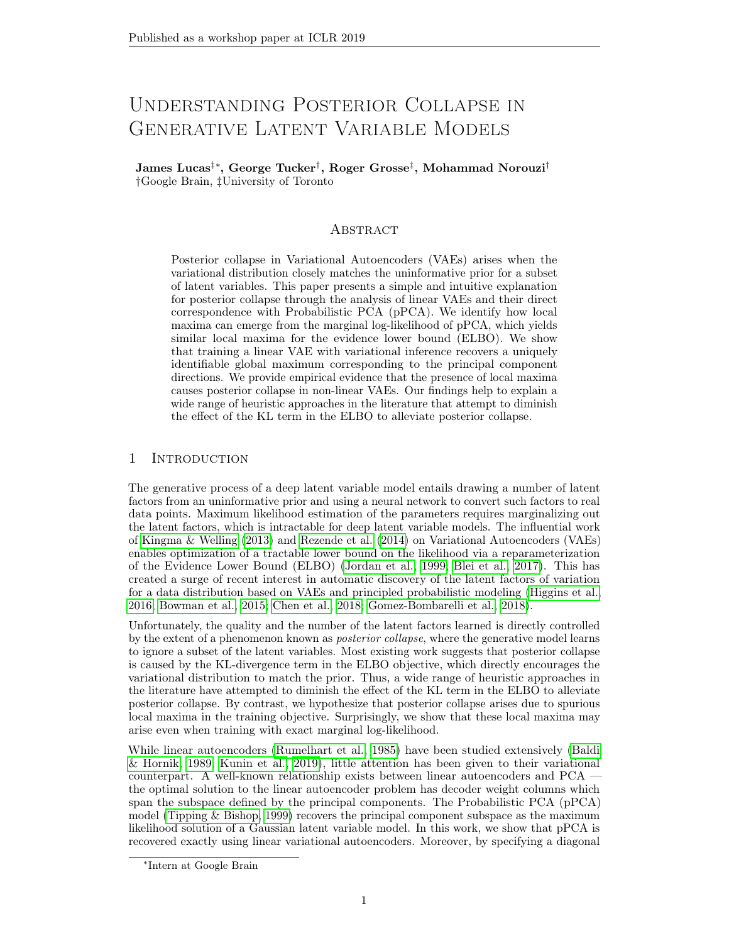perturbation of these parameters too for a sufficiently small rotation. Importantly, log det M remains fixed for any orthogonal choice of  $\bf{R}$  but log det  $\bf{M}$  does not. Thus, we choose  $\bf{R}$ to minimize this term. In this manner,  $(1)$  shrinks meaning that the ELBO  $(-2)+(3)$  must increase. Thus if the stationary point existed, it must have been a saddle point.

We now describe how to construct such a small rotation matrix. First note that without loss of generality we can assume that  $det(R) = 1$ . (Otherwise, we can flip the sign of a column of **R** and the corresponding column of **U**.) And additionally, we have  $WR = UL$ , which is orthogonal.

The Special Orthogonal group of determinant 1 orthogonal matrices is a compact, connected Lie group and therefore the exponential map from its Lie algebra is surjective. This means that we can find an upper-triangular matrix **B**, such that  $R = \exp\{B - B^{T}\}\$ . Consider  $R = \exp{\frac{1}{n(1)}(B - B^T)}$ , where  $n( )$  is an integer chosen to ensure that the elements of **B** are within  $> 0$  of zero. This matrix is a rotation in the direction of **R** which we can make arbitrarily close to the identity by a suitable choice of . This is verified through the Taylor series expansion of  $\mathbf{R} = I + \frac{1}{D(1)} (\mathbf{B} - \mathbf{B}^T) + O(2^2)$ . Thus, we have identified a small perturbation to W (and  $\bf{D}$  and  $\bf{V}$ ) which decreases the posterior KL (A) but keeps the marginal log-likelihood constant. Thus, the ELBO increases and the stationary point must be a saddle point.

 $\Box$ 

#### C.1 Bernoul li Probabilistic PCA

We would like to extend our linear analysis to the case where we have a Bernoulli observation model, as this setting also suffers severely from posterior collapse. The analysis may also shed light on more general categorical observation models which have also been used. Typically, in these settings a continuous latent space is still used (for example, Bowman et al. (2015)).

We will consider the following model,

$$
p(z) = \mathcal{N}(0; 1);
$$
  
\n
$$
p(x|z) = Bernoulli(y);
$$
  
\n
$$
y = (Wz +)
$$
\n(28)

where denotes the sigmoid function,  $(y) = 1 = (1 + \exp(-y))$  and we assume an independent Bernoulli observation model over x.

Unfortunately, under this model it is difficult to reason about the stationary points. There is no closed form solution for the marginal likelihood  $p(x)$  or the posterior distribution  $p(z|x)$ . Numerical integration methods exist which may make it easy to evaluate this quantity in practice but they will not immediately provide us a good gradient signal.

We can compute the density function for **y** using the change of variables formula. Noting that  $Wz + \sim \mathcal{N}(\gamma W W^T)$ , we recover the following logit-Normal distribution:

$$
f(\mathbf{y}) = \varphi \frac{1}{2 \, |\mathbf{WW}^T|} \frac{1}{\, ij_1(1 - y_i)} \exp\{-\frac{1}{2} \, \log(\frac{\mathbf{y}}{1 - \mathbf{y}}) - \frac{1}{2} (\mathbf{WW}^T)^{-1} \, \log(\frac{\mathbf{y}}{1 - \mathbf{y}}) - \frac{1}{2} (\cos(\frac{\mathbf{y}}{1 - \mathbf{y}}))\}
$$

We can write the marginal likelihood as,

$$
p(\mathbf{x}) = \begin{cases} \Delta & (30) \\ \Delta & (31) \end{cases}
$$

$$
= \mathbb{E}_{z} \ y(z)^{x} (1 - y(z))^{1-x} \tag{31}
$$